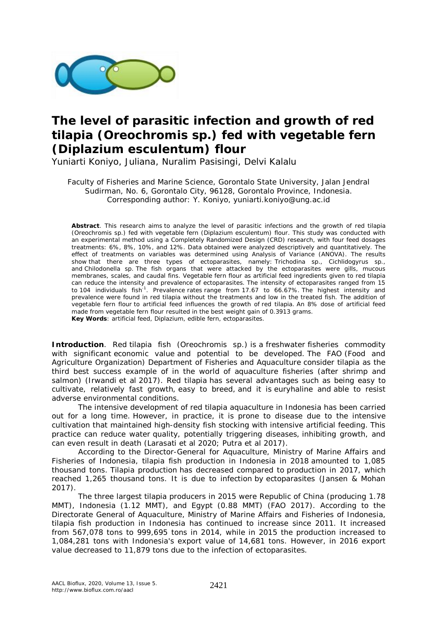

# **The level of parasitic infection and growth of red tilapia (***Oreochromis* **sp.) fed with vegetable fern (***Diplazium esculentum***) flour**

Yuniarti Koniyo, Juliana, Nuralim Pasisingi, Delvi Kalalu

Faculty of Fisheries and Marine Science, Gorontalo State University, Jalan Jendral Sudirman, No. 6, Gorontalo City, 96128, Gorontalo Province, Indonesia. Corresponding author: Y. Koniyo, yuniarti.koniyo@ung.ac.id

**Abstract**. This research aims to analyze the level of parasitic infections and the growth of red tilapia (*Oreochromis* sp.) fed with vegetable fern (*Diplazium esculentum*) flour. This study was conducted with an experimental method using a Completely Randomized Design (CRD) research, with four feed dosages treatments: 6%, 8%, 10%, and 12%. Data obtained were analyzed descriptively and quantitatively. The effect of treatments on variables was determined using Analysis of Variance (ANOVA). The results show that there are three types of ectoparasites, namely: *Trichodina* sp.*, Cichlidogyrus* sp*.,*  and *Chilodonella* sp. The fish organs that were attacked by the ectoparasites were gills, mucous membranes, scales, and caudal fins. Vegetable fern flour as artificial feed ingredients given to red tilapia can reduce the intensity and prevalence of ectoparasites. The intensity of ectoparasites ranged from 15 to 104 individuals fish<sup>-1</sup>. Prevalence rates range from 17.67 to 66.67%. The highest intensity and prevalence were found in red tilapia without the treatments and low in the treated fish. The addition of vegetable fern flour to artificial feed influences the growth of red tilapia. An 8% dose of artificial feed made from vegetable fern flour resulted in the best weight gain of 0.3913 grams. **Key Words**: artificial feed, *Diplazium*, edible fern, ectoparasites.

**Introduction**. Red tilapia fish (*Oreochromis* sp.) is a freshwater fisheries commodity with significant economic value and potential to be developed. The FAO (Food and Agriculture Organization) Department of Fisheries and Aquaculture consider tilapia as the third best success example of in the world of aquaculture fisheries (after shrimp and salmon) (Irwandi et al 2017). Red tilapia has several advantages such as being easy to cultivate, relatively fast growth, easy to breed, and it is euryhaline and able to resist adverse environmental conditions.

The intensive development of red tilapia aquaculture in Indonesia has been carried out for a long time. However, in practice, it is prone to disease due to the intensive cultivation that maintained high-density fish stocking with intensive artificial feeding. This practice can reduce water quality, potentially triggering diseases, inhibiting growth, and can even result in death (Larasati et al 2020; Putra et al 2017).

According to the Director-General for Aquaculture, Ministry of Marine Affairs and Fisheries of Indonesia, tilapia fish production in Indonesia in 2018 amounted to 1,085 thousand tons. Tilapia production has decreased compared to production in 2017, which reached 1,265 thousand tons. It is due to infection by ectoparasites (Jansen & Mohan 2017).

The three largest tilapia producers in 2015 were Republic of China (producing 1.78 MMT), Indonesia (1.12 MMT), and Egypt (0.88 MMT) (FAO 2017). According to the Directorate General of Aquaculture, Ministry of Marine Affairs and Fisheries of Indonesia, tilapia fish production in Indonesia has continued to increase since 2011. It increased from 567,078 tons to 999,695 tons in 2014, while in 2015 the production increased to 1,084,281 tons with Indonesia's export value of 14,681 tons. However, in 2016 export value decreased to 11,879 tons due to the infection of ectoparasites.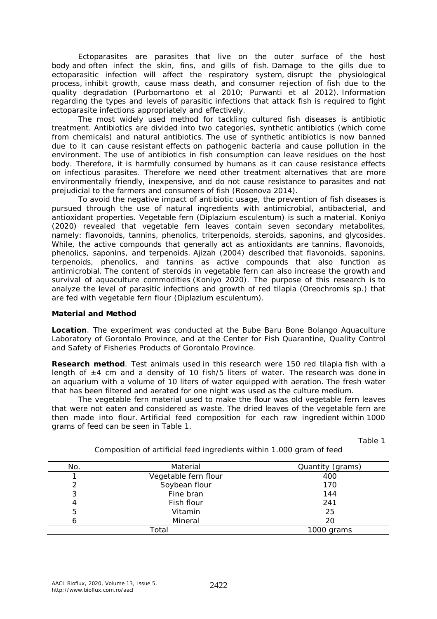Ectoparasites are parasites that live on the outer surface of the host body and often infect the skin, fins, and gills of fish. Damage to the gills due to ectoparasitic infection will affect the respiratory system, disrupt the physiological process, inhibit growth, cause mass death, and consumer rejection of fish due to the quality degradation (Purbomartono et al 2010; Purwanti et al 2012). Information regarding the types and levels of parasitic infections that attack fish is required to fight ectoparasite infections appropriately and effectively.

The most widely used method for tackling cultured fish diseases is antibiotic treatment. Antibiotics are divided into two categories, synthetic antibiotics (which come from chemicals) and natural antibiotics. The use of synthetic antibiotics is now banned due to it can cause resistant effects on pathogenic bacteria and cause pollution in the environment. The use of antibiotics in fish consumption can leave residues on the host body. Therefore, it is harmfully consumed by humans as it can cause resistance effects on infectious parasites. Therefore we need other treatment alternatives that are more environmentally friendly, inexpensive, and do not cause resistance to parasites and not prejudicial to the farmers and consumers of fish (Rosenova 2014).

To avoid the negative impact of antibiotic usage, the prevention of fish diseases is pursued through the use of natural ingredients with antimicrobial, antibacterial, and antioxidant properties. Vegetable fern (*Diplazium esculentum*) is such a material. Koniyo (2020) revealed that vegetable fern leaves contain seven secondary metabolites, namely: flavonoids, tannins, phenolics, triterpenoids, steroids, saponins, and glycosides. While, the active compounds that generally act as antioxidants are tannins, flavonoids, phenolics, saponins, and terpenoids. Ajizah (2004) described that flavonoids, saponins, terpenoids, phenolics, and tannins as active compounds that also function as antimicrobial. The content of steroids in vegetable fern can also increase the growth and survival of aquaculture commodities (Koniyo 2020). The purpose of this research is to analyze the level of parasitic infections and growth of red tilapia (*Oreochromis* sp.) that are fed with vegetable fern flour (*Diplazium esculentum*).

## **Material and Method**

*Location*. The experiment was conducted at the Bube Baru Bone Bolango Aquaculture Laboratory of Gorontalo Province, and at the Center for Fish Quarantine, Quality Control and Safety of Fisheries Products of Gorontalo Province.

*Research method.* Test animals used in this research were 150 red tilapia fish with a length of  $\pm 4$  cm and a density of 10 fish/5 liters of water. The research was done in an aquarium with a volume of 10 liters of water equipped with aeration. The fresh water that has been filtered and aerated for one night was used as the culture medium.

The vegetable fern material used to make the flour was old vegetable fern leaves that were not eaten and considered as waste. The dried leaves of the vegetable fern are then made into flour. Artificial feed composition for each raw ingredient within 1000 grams of feed can be seen in Table 1.

Table 1

| No. | Material             | Quantity (grams) |
|-----|----------------------|------------------|
|     | Vegetable fern flour | 400              |
|     | Soybean flour        | 170              |
| 3   | Fine bran            | 144              |
| 4   | Fish flour           | 241              |
| 5   | Vitamin              | 25               |
|     | Mineral              | 20               |
|     | Total                | 1000 grams       |

Composition of artificial feed ingredients within 1.000 gram of feed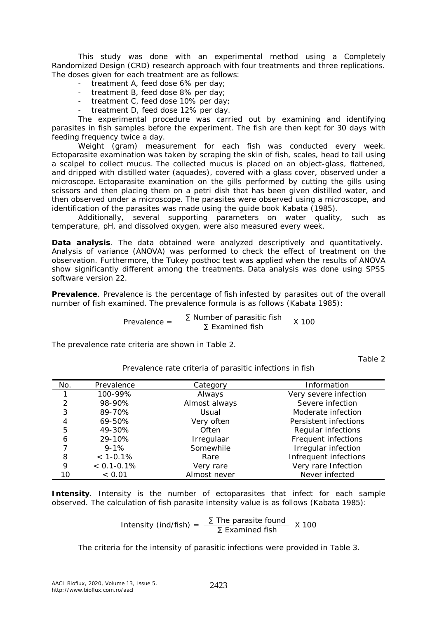This study was done with an experimental method using a Completely Randomized Design (CRD) research approach with four treatments and three replications. The doses given for each treatment are as follows:

- treatment A, feed dose 6% per day;
- treatment B, feed dose 8% per day;
- treatment C, feed dose 10% per day;
- treatment D, feed dose 12% per day.

The experimental procedure was carried out by examining and identifying parasites in fish samples before the experiment. The fish are then kept for 30 days with feeding frequency twice a day.

Weight (gram) measurement for each fish was conducted every week. Ectoparasite examination was taken by scraping the skin of fish, scales, head to tail using a scalpel to collect mucus. The collected mucus is placed on an object-glass, flattened, and dripped with distilled water (aquades), covered with a glass cover, observed under a microscope. Ectoparasite examination on the gills performed by cutting the gills using scissors and then placing them on a petri dish that has been given distilled water, and then observed under a microscope. The parasites were observed using a microscope, and identification of the parasites was made using the guide book Kabata (1985).

Additionally, several supporting parameters on water quality, such as temperature, pH, and dissolved oxygen, were also measured every week.

*Data analysis.* The data obtained were analyzed descriptively and quantitatively. Analysis of variance (ANOVA) was performed to check the effect of treatment on the observation. Furthermore, the Tukey posthoc test was applied when the results of ANOVA show significantly different among the treatments. Data analysis was done using SPSS software version 22.

*Prevalence.* Prevalence is the percentage of fish infested by parasites out of the overall number of fish examined. The prevalence formula is as follows (Kabata 1985):

Prevalence =  $\frac{\sum \text{Number of parasitic fish}}{\sum \text{Examine}}$  X 100

The prevalence rate criteria are shown in Table 2.

Table 2

| No. | Prevalence      | Category      | Information           |
|-----|-----------------|---------------|-----------------------|
| 1   | 100-99%         | Always        | Very severe infection |
| 2   | 98-90%          | Almost always | Severe infection      |
| 3   | 89-70%          | Usual         | Moderate infection    |
| 4   | 69-50%          | Very often    | Persistent infections |
| 5   | 49-30%          | Often         | Regular infections    |
| 6   | 29-10%          | Irregulaar    | Frequent infections   |
|     | $9 - 1%$        | Somewhile     | Irregular infection   |
| 8   | $< 1 - 0.1\%$   | Rare          | Infrequent infections |
| 9   | $< 0.1 - 0.1\%$ | Very rare     | Very rare Infection   |
| 10  | < 0.01          | Almost never  | Never infected        |

Prevalence rate criteria of parasitic infections in fish

**Intensity**. Intensity is the number of ectoparasites that infect for each sample observed. The calculation of fish parasite intensity value is as follows (Kabata 1985):

Intensity (ind/fish) = 
$$
\frac{\Sigma \text{ The parasite found}}{\Sigma \text{ Examined fish}}
$$
 X 100

The criteria for the intensity of parasitic infections were provided in Table 3.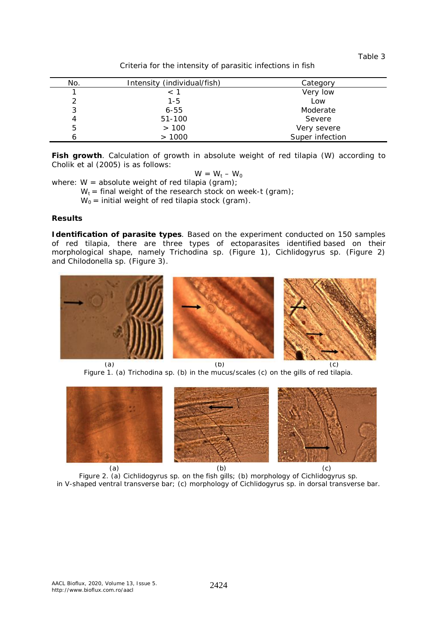Table 3

Criteria for the intensity of parasitic infections in fish

| No. | Intensity (individual/fish) | Category        |
|-----|-----------------------------|-----------------|
|     | $<$ 1                       | Very low        |
| າ   | 1-5                         | Low             |
| 3   | $6 - 55$                    | Moderate        |
|     | 51-100                      | Severe          |
| 5   | >100                        | Very severe     |
|     | >1000                       | Super infection |

*Fish growth.* Calculation of growth in absolute weight of red tilapia (W) according to Cholik et al (2005) is as follows:

$$
W = W_t - W_0
$$

where:  $W =$  absolute weight of red tilapia (gram);

 $W_t$  = final weight of the research stock on week-t (gram);

 $W_0$  = initial weight of red tilapia stock (gram).

#### **Results**

*Identification of parasite types*. Based on the experiment conducted on 150 samples of red tilapia, there are three types of ectoparasites identified based on their morphological shape, namely *Trichodina* sp. (Figure 1), *Cichlidogyrus* sp. (Figure 2) and *Chilodonella* sp. (Figure 3)*.*



(a)  $(b)$  (c) Figure 1. (a) *Trichodina* sp*.* (b) in the mucus/scales (c) on the gills of red tilapia.



Figure 2. (a) *Cichlidogyrus* sp*.* on the fish gills; (b) morphology of *Cichlidogyrus* sp. in V-shaped ventral transverse bar; (c) morphology of *Cichlidogyrus* sp. in dorsal transverse bar.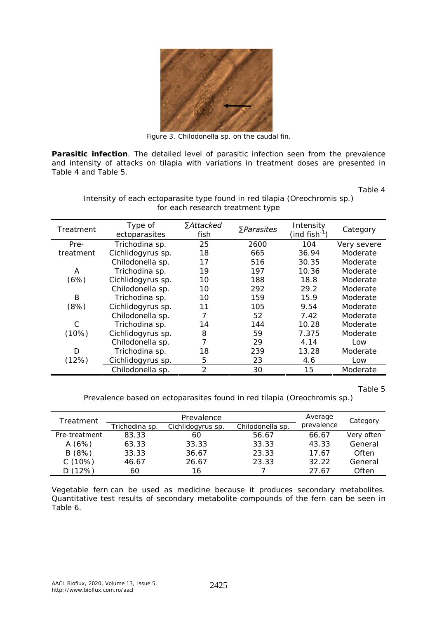

Figure 3. *Chilodonella* sp*.* on the caudal fin.

**Parasitic infection**. The detailed level of parasitic infection seen from the prevalence and intensity of attacks on tilapia with variations in treatment doses are presented in Table 4 and Table 5.

Table 4

| Treatment | Type of           | ∑Attacked      | $\sum$ <i>Parasites</i> | Intensity                 | Category    |  |
|-----------|-------------------|----------------|-------------------------|---------------------------|-------------|--|
|           | ectoparasites     | fish           |                         | (ind fish <sup>-1</sup> ) |             |  |
| Pre-      | Trichodina sp.    | 25             | 2600                    | 104                       | Very severe |  |
| treatment | Cichlidogyrus sp. | 18             | 665                     | 36.94                     | Moderate    |  |
|           | Chilodonella sp.  | 17             | 516                     | 30.35                     | Moderate    |  |
| A         | Trichodina sp.    | 19             | 197                     | 10.36                     | Moderate    |  |
| (6%)      | Cichlidogyrus sp. | 10             | 188                     | 18.8                      | Moderate    |  |
|           | Chilodonella sp.  | 10             | 292                     | 29.2                      | Moderate    |  |
| B         | Trichodina sp.    | 10             | 159                     | 15.9                      | Moderate    |  |
| (8%)      | Cichlidogyrus sp. | 11             | 105                     | 9.54                      | Moderate    |  |
|           | Chilodonella sp.  | $\overline{7}$ | 52                      | 7.42                      | Moderate    |  |
| C         | Trichodina sp.    | 14             | 144                     | 10.28                     | Moderate    |  |
| (10%)     | Cichlidogyrus sp. | 8              | 59                      | 7.375                     | Moderate    |  |
|           | Chilodonella sp.  | 7              | 29                      | 4.14                      | Low         |  |
| D         | Trichodina sp.    | 18             | 239                     | 13.28                     | Moderate    |  |
| (12%)     | Cichlidogyrus sp. | 5              | 23                      | 4.6                       | Low         |  |
|           | Chilodonella sp.  | $\overline{2}$ | 30                      | 15                        | Moderate    |  |

Intensity of each ectoparasite type found in red tilapia (*Oreochromis* sp.) for each research treatment type

Table 5

Prevalence based on ectoparasites found in red tilapia (*Oreochromis* sp.)

| Treatment     |                                                         | Average | Category |            |            |
|---------------|---------------------------------------------------------|---------|----------|------------|------------|
|               | Trichodina sp.<br>Chilodonella sp.<br>Cichlidogyrus sp. |         |          | prevalence |            |
| Pre-treatment | 83.33                                                   | 60      | 56.67    | 66.67      | Very often |
| A(6%)         | 63.33                                                   | 33.33   | 33.33    | 43.33      | General    |
| B(8%)         | 33.33                                                   | 36.67   | 23.33    | 17.67      | Often      |
| C(10%)        | 46.67                                                   | 26.67   | 23.33    | 32.22      | General    |
| D(12%)        | 60                                                      | 16      |          | 27.67      | Often      |

Vegetable fern can be used as medicine because it produces secondary metabolites. Quantitative test results of secondary metabolite compounds of the fern can be seen in Table 6.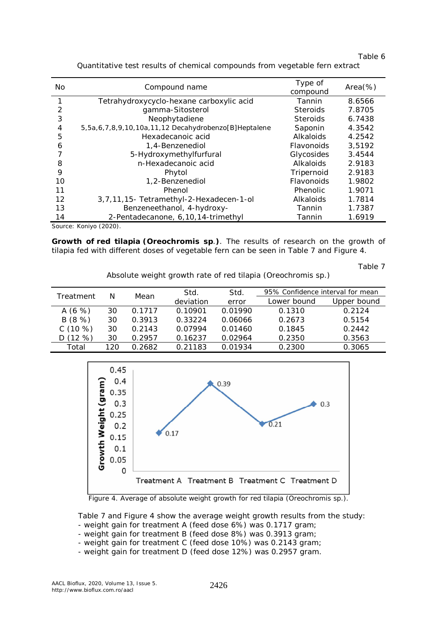| able |  |
|------|--|
|      |  |

| No | Compound name                                        | Type of<br>compound | $Area(\%)$ |
|----|------------------------------------------------------|---------------------|------------|
|    | Tetrahydroxycyclo-hexane carboxylic acid             | Tannin              | 8.6566     |
| 2  | gamma-Sitosterol                                     | <b>Steroids</b>     | 7.8705     |
| 3  | Neophytadiene                                        | <b>Steroids</b>     | 6.7438     |
| 4  | 5,5a,6,7,8,9,10,10a,11,12 Decahydrobenzo[B]Heptalene | Saponin             | 4.3542     |
| 5  | Hexadecanoic acid                                    | Alkaloids           | 4.2542     |
| 6  | 1,4-Benzenediol                                      | Flavonoids          | 3,5192     |
|    | 5-Hydroxymethylfurfural                              | Glycosides          | 3.4544     |
| 8  | n-Hexadecanoic acid                                  | Alkaloids           | 2.9183     |
| 9  | Phytol                                               | Tripernoid          | 2.9183     |
| 10 | 1,2-Benzenediol                                      | Flavonoids          | 1.9802     |
| 11 | Phenol                                               | Phenolic            | 1.9071     |
| 12 | 3,7,11,15- Tetramethyl-2-Hexadecen-1-ol              | Alkaloids           | 1.7814     |
| 13 | Benzeneethanol, 4-hydroxy-                           | Tannin              | 1.7387     |
| 14 | 2-Pentadecanone, 6, 10, 14-trimethyl                 | Tannin              | 1.6919     |

Quantitative test results of chemical compounds from vegetable fern extract

Source: Koniyo (2020).

*Growth of red tilapia (Oreochromis* **sp**.*).* The results of research on the growth of tilapia fed with different doses of vegetable fern can be seen in Table 7 and Figure 4.

Table 7

Absolute weight growth rate of red tilapia (*Oreochromis* sp.)

| Treatment  |     |        | Std.      | Std.    | 95% Confidence interval for mean |             |
|------------|-----|--------|-----------|---------|----------------------------------|-------------|
|            | Ν   | Mean   | deviation | error   | Lower bound                      | Upper bound |
| A $(6 \%)$ | 30  | 0 1717 | 0.10901   | 0.01990 | 0.1310                           | 0.2124      |
| B(8%)      | 30  | 0.3913 | 0.33224   | 0.06066 | 0.2673                           | 0.5154      |
| C(10%)     | 30  | 0.2143 | 0.07994   | 0.01460 | 0.1845                           | 0.2442      |
| $(12 \%)$  | 30  | 0.2957 | 0.16237   | 0.02964 | 0.2350                           | 0.3563      |
| Total      | 120 | በ 2682 | 0.21183   | 0.01934 | 0.2300                           | 0.3065      |



Figure 4. Average of absolute weight growth for red tilapia (*Oreochromis* sp.).

Table 7 and Figure 4 show the average weight growth results from the study: - weight gain for treatment A (feed dose 6%) was 0.1717 gram;

- weight gain for treatment B (feed dose 8%) was 0.3913 gram;
- weight gain for treatment C (feed dose 10%) was 0.2143 gram;
- weight gain for treatment D (feed dose 12%) was 0.2957 gram.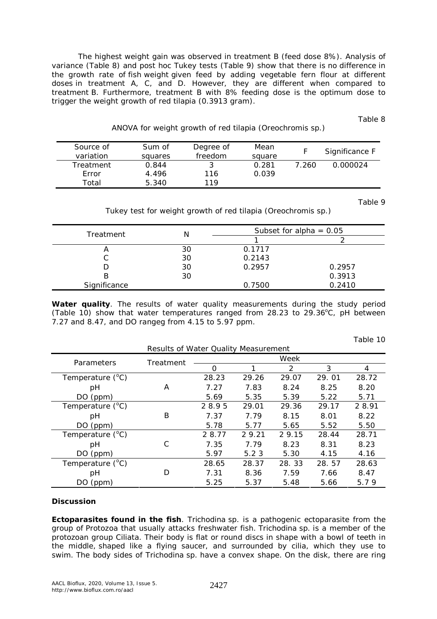The highest weight gain was observed in treatment B (feed dose 8%). Analysis of variance (Table 8) and post hoc Tukey tests (Table 9) show that there is no difference in the growth rate of fish weight given feed by adding vegetable fern flour at different doses in treatment A, C, and D. However, they are different when compared to treatment B. Furthermore, treatment B with 8% feeding dose is the optimum dose to trigger the weight growth of red tilapia (0.3913 gram).

Table 8

| ANOVA for weight growth of red tilapia (Oreochromis sp.) |  |
|----------------------------------------------------------|--|
|                                                          |  |

| Source of<br>variation | Sum of<br>squares | Degree of<br>freedom | Mean<br>square |       | Significance F |
|------------------------|-------------------|----------------------|----------------|-------|----------------|
| Treatment              | 0.844             |                      | 0.281          | 7.260 | 0.000024       |
| Frror                  | 4.496             | 116                  | 0.039          |       |                |
| Total                  | 5.340             | 119                  |                |       |                |

Table 9

Tukey test for weight growth of red tilapia (*Oreochromis* sp.)

| Treatment    | Ν  | Subset for alpha = $0.05$ |        |  |
|--------------|----|---------------------------|--------|--|
|              |    |                           |        |  |
| 宀            | 30 | 0.1717                    |        |  |
|              | 30 | 0.2143                    |        |  |
|              | 30 | 0.2957                    | 0.2957 |  |
| В            | 30 |                           | 0.3913 |  |
| Significance |    | 0.7500                    | 0.2410 |  |

*Water quality.* The results of water quality measurements during the study period (Table 10) show that water temperatures ranged from 28.23 to 29.36 $^{\circ}$ C, pH between 7.27 and 8.47, and DO rangeg from 4.15 to 5.97 ppm.

| Results of Water Quality Measurement |           |        |       |       |       |        |
|--------------------------------------|-----------|--------|-------|-------|-------|--------|
| Parameters                           | Treatment | Week   |       |       |       |        |
|                                      |           | 0      |       | 2     | 3     | 4      |
| Temperature $(^{\circ}C)$            |           | 28.23  | 29.26 | 29.07 | 29.01 | 28.72  |
| рH                                   | A         | 7.27   | 7.83  | 8.24  | 8.25  | 8.20   |
| DO (ppm)                             |           | 5.69   | 5.35  | 5.39  | 5.22  | 5.71   |
| Temperature $(^{\circ}C)$            |           | 28.95  | 29.01 | 29.36 | 29.17 | 2 8.91 |
| pH                                   | B         | 7.37   | 7.79  | 8.15  | 8.01  | 8.22   |
| DO (ppm)                             |           | 5.78   | 5.77  | 5.65  | 5.52  | 5.50   |
| Temperature $(^{\circ}C)$            |           | 2 8.77 | 29.21 | 29.15 | 28.44 | 28.71  |
| рH                                   | C         | 7.35   | 7.79  | 8.23  | 8.31  | 8.23   |
| DO (ppm)                             |           | 5.97   | 5.23  | 5.30  | 4.15  | 4.16   |
| Temperature $(^{\circ}C)$            |           | 28.65  | 28.37 | 28.33 | 28.57 | 28.63  |
| рH                                   | D         | 7.31   | 8.36  | 7.59  | 7.66  | 8.47   |
| (ppm)<br>DO.                         |           | 5.25   | 5.37  | 5.48  | 5.66  | 5.79   |

## **Discussion**

*Ectoparasites found in the fish. Trichodina* sp. is a pathogenic ectoparasite from the group of Protozoa that usually attacks freshwater fish. *Trichodina* sp. is a member of the protozoan group Ciliata. Their body is flat or round discs in shape with a bowl of teeth in the middle, shaped like a flying saucer, and surrounded by cilia, which they use to swim. The body sides of *Trichodina* sp. have a convex shape. On the disk, there are ring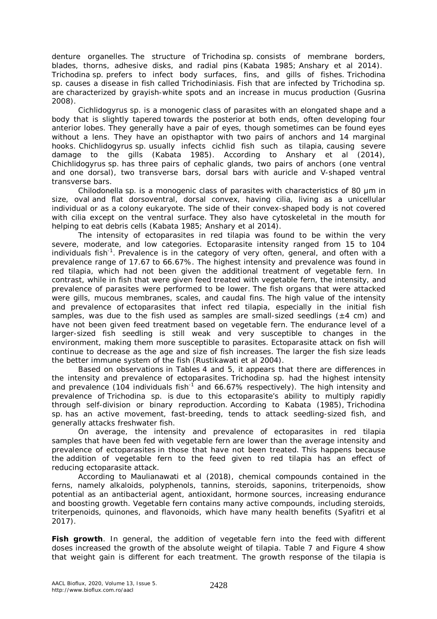denture organelles. The structure of *Trichodina* sp. consists of membrane borders, blades, thorns, adhesive disks, and radial pins (Kabata 1985; Anshary et al 2014). *Trichodina* sp. prefers to infect body surfaces, fins, and gills of fishes. *Trichodina* sp. causes a disease in fish called Trichodiniasis. Fish that are infected by *Trichodina* sp. are characterized by grayish-white spots and an increase in mucus production (Gusrina 2008).

*Cichlidogyrus* sp. is a monogenic class of parasites with an elongated shape and a body that is slightly tapered towards the posterior at both ends, often developing four anterior lobes. They generally have a pair of eyes, though sometimes can be found eyes without a lens. They have an opisthaptor with two pairs of anchors and 14 marginal hooks. *Chichlidogyrus* sp. usually infects cichlid fish such as tilapia, causing severe damage to the gills (Kabata 1985). According to Anshary et al (2014), *Chichlidogyrus* sp. has three pairs of cephalic glands, two pairs of anchors (one ventral and one dorsal), two transverse bars, dorsal bars with auricle and V-shaped ventral transverse bars.

*Chilodonella* sp. is a monogenic class of parasites with characteristics of 80 μm in size, oval and flat dorsoventral, dorsal convex, having cilia, living as a unicellular individual or as a colony eukaryote. The side of their convex-shaped body is not covered with cilia except on the ventral surface. They also have cytoskeletal in the mouth for helping to eat debris cells (Kabata 1985; Anshary et al 2014).

The intensity of ectoparasites in red tilapia was found to be within the very severe, moderate, and low categories. Ectoparasite intensity ranged from 15 to 104 individuals fish<sup>-1</sup>. Prevalence is in the category of very often, general, and often with a prevalence range of 17.67 to 66.67%. The highest intensity and prevalence was found in red tilapia, which had not been given the additional treatment of vegetable fern. In contrast, while in fish that were given feed treated with vegetable fern, the intensity, and prevalence of parasites were performed to be lower. The fish organs that were attacked were gills, mucous membranes, scales, and caudal fins. The high value of the intensity and prevalence of ectoparasites that infect red tilapia, especially in the initial fish samples, was due to the fish used as samples are small-sized seedlings ( $\pm 4$  cm) and have not been given feed treatment based on vegetable fern. The endurance level of a larger-sized fish seedling is still weak and very susceptible to changes in the environment, making them more susceptible to parasites. Ectoparasite attack on fish will continue to decrease as the age and size of fish increases. The larger the fish size leads the better immune system of the fish (Rustikawati et al 2004).

Based on observations in Tables 4 and 5, it appears that there are differences in the intensity and prevalence of ectoparasites. *Trichodina* sp. had the highest intensity and prevalence (104 individuals fish<sup>-1</sup> and 66.67% respectively). The high intensity and prevalence of *Trichodina* sp. is due to this ectoparasite's ability to multiply rapidly through self-division or binary reproduction. According to Kabata (1985), *Trichodina*  sp. has an active movement, fast-breeding, tends to attack seedling-sized fish, and generally attacks freshwater fish.

On average, the intensity and prevalence of ectoparasites in red tilapia samples that have been fed with vegetable fern are lower than the average intensity and prevalence of ectoparasites in those that have not been treated. This happens because the addition of vegetable fern to the feed given to red tilapia has an effect of reducing ectoparasite attack.

According to Maulianawati et al (2018), chemical compounds contained in the ferns, namely alkaloids, polyphenols, tannins, steroids, saponins, triterpenoids, show potential as an antibacterial agent, antioxidant, hormone sources, increasing endurance and boosting growth. Vegetable fern contains many active compounds, including steroids, triterpenoids, quinones, and flavonoids, which have many health benefits (Syafitri et al 2017).

**Fish growth**. In general, the addition of vegetable fern into the feed with different doses increased the growth of the absolute weight of tilapia. Table 7 and Figure 4 show that weight gain is different for each treatment. The growth response of the tilapia is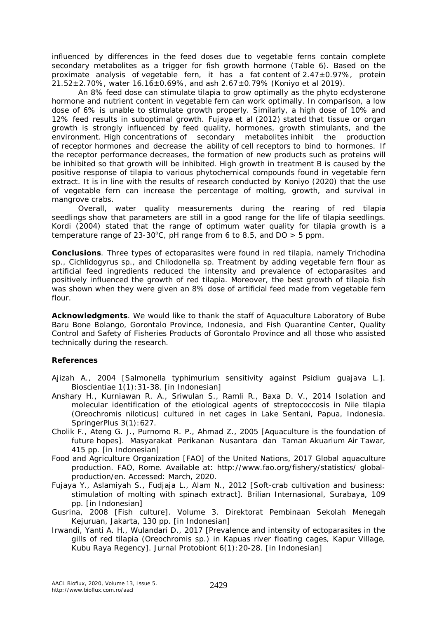influenced by differences in the feed doses due to vegetable ferns contain complete secondary metabolites as a trigger for fish growth hormone (Table 6). Based on the proximate analysis of vegetable fern, it has a fat content of  $2.47\pm0.97\%$ , protein 21.52 $\pm$ 2.70%, water 16.16 $\pm$ 0.69%, and ash 2.67 $\pm$ 0.79% (Koniyo et al 2019).

An 8% feed dose can stimulate tilapia to grow optimally as the phyto ecdysterone hormone and nutrient content in vegetable fern can work optimally. In comparison, a low dose of 6% is unable to stimulate growth properly. Similarly, a high dose of 10% and 12% feed results in suboptimal growth. Fujaya et al (2012) stated that tissue or organ growth is strongly influenced by feed quality, hormones, growth stimulants, and the environment. High concentrations of secondary metabolites inhibit the production of receptor hormones and decrease the ability of cell receptors to bind to hormones. If the receptor performance decreases, the formation of new products such as proteins will be inhibited so that growth will be inhibited. High growth in treatment B is caused by the positive response of tilapia to various phytochemical compounds found in vegetable fern extract. It is in line with the results of research conducted by Koniyo (2020) that the use of vegetable fern can increase the percentage of molting, growth, and survival in mangrove crabs.

Overall, water quality measurements during the rearing of red tilapia seedlings show that parameters are still in a good range for the life of tilapia seedlings. Kordi (2004) stated that the range of optimum water quality for tilapia growth is a temperature range of 23-30°C, pH range from 6 to 8.5, and  $DO > 5$  ppm.

**Conclusions**. Three types of ectoparasites were found in red tilapia, namely *Trichodina* sp., *Cichlidogyrus* sp., and *Chilodonella* sp. Treatment by adding vegetable fern flour as artificial feed ingredients reduced the intensity and prevalence of ectoparasites and positively influenced the growth of red tilapia. Moreover, the best growth of tilapia fish was shown when they were given an 8% dose of artificial feed made from vegetable fern flour.

**Acknowledgments**. We would like to thank the staff of Aquaculture Laboratory of Bube Baru Bone Bolango, Gorontalo Province, Indonesia, and Fish Quarantine Center, Quality Control and Safety of Fisheries Products of Gorontalo Province and all those who assisted technically during the research.

# **References**

Ajizah A., 2004 [*Salmonella typhimurium* sensitivity against *Psidium guajava* L.]. Bioscientiae 1(1):31-38. [in Indonesian]

- Anshary H., Kurniawan R. A., Sriwulan S., Ramli R., Baxa D. V., 2014 Isolation and molecular identification of the etiological agents of s*treptococcosis* in Nile tilapia (*Oreochromis niloticus*) cultured in net cages in Lake Sentani, Papua, Indonesia. SpringerPlus 3(1):627.
- Cholik F., Ateng G. J., Purnomo R. P., Ahmad Z., 2005 [Aquaculture is the foundation of future hopes]. Masyarakat Perikanan Nusantara dan Taman Akuarium Air Tawar, 415 pp. [in Indonesian]
- Food and Agriculture Organization [FAO] of the United Nations, 2017 Global aquaculture production. FAO, Rome. Available at: http://www.fao.org/fishery/statistics/ globalproduction/en. Accessed: March, 2020.
- Fujaya Y., Aslamiyah S., Fudjaja L., Alam N., 2012 [Soft-crab cultivation and business: stimulation of molting with spinach extract]*.* Brilian Internasional, Surabaya, 109 pp. [in Indonesian]
- Gusrina, 2008 [Fish culture]. Volume 3. Direktorat Pembinaan Sekolah Menegah Kejuruan, Jakarta, 130 pp. [in Indonesian]
- Irwandi, Yanti A. H., Wulandari D., 2017 [Prevalence and intensity of ectoparasites in the gills of red tilapia (*Oreochromis* sp.) in Kapuas river floating cages, Kapur Village, Kubu Raya Regency]. Jurnal Protobiont 6(1):20-28. [in Indonesian]